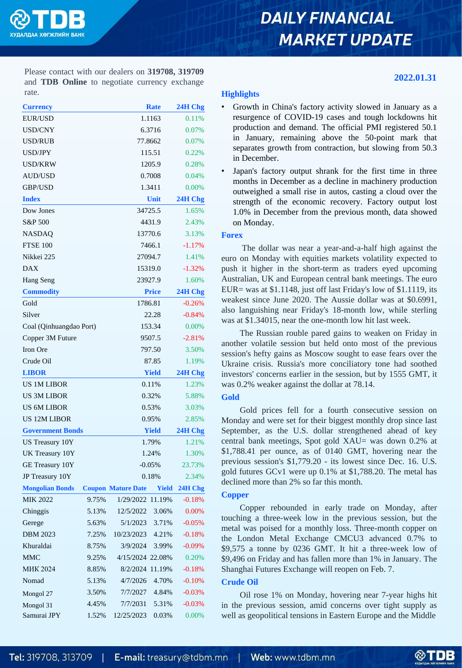

# **DAILY FINANCIAL MARKET UPDATE**

**2022.01.31**

Please contact with our dealers on **319708, 319709** and **TDB Online** to negotiate currency exchange rate.

| <b>Currency</b>         |               |                    | <b>Rate</b> | 24H Chg  |
|-------------------------|---------------|--------------------|-------------|----------|
| <b>EUR/USD</b>          |               |                    | 1.1163      | 0.11%    |
| USD/CNY                 |               |                    | 6.3716      | 0.07%    |
| USD/RUB                 |               |                    | 77.8662     | 0.07%    |
| <b>USD/JPY</b>          |               |                    | 115.51      | 0.22%    |
| USD/KRW                 |               |                    | 1205.9      | 0.28%    |
| <b>AUD/USD</b>          |               |                    | 0.7008      | 0.04%    |
| <b>GBP/USD</b>          |               |                    | 1.3411      | 0.00%    |
| <b>Index</b>            |               |                    | Unit        | 24H Chg  |
| Dow Jones               |               |                    | 34725.5     | 1.65%    |
| S&P 500                 |               |                    | 4431.9      | 2.43%    |
| <b>NASDAQ</b>           |               |                    | 13770.6     | 3.13%    |
| <b>FTSE 100</b>         |               |                    | 7466.1      | $-1.17%$ |
| Nikkei 225              |               |                    | 27094.7     | 1.41%    |
| <b>DAX</b>              |               |                    | 15319.0     | $-1.32%$ |
| Hang Seng               |               | 23927.9            |             | 1.60%    |
| <b>Commodity</b>        |               | <b>Price</b>       |             | 24H Chg  |
| Gold                    |               |                    | 1786.81     |          |
| Silver                  |               | 22.28              |             | $-0.84%$ |
| Coal (Qinhuangdao Port) |               | 153.34             |             | 0.00%    |
| Copper 3M Future        |               | 9507.5             |             | $-2.81%$ |
| Iron Ore                |               | 797.50             |             | 3.50%    |
| Crude Oil               |               |                    | 87.85       | 1.19%    |
| <b>LIBOR</b>            |               | <b>Yield</b>       |             | 24H Chg  |
| <b>US 1M LIBOR</b>      |               | 0.11%              |             | 1.23%    |
| <b>US 3M LIBOR</b>      |               | 0.32%              |             | 5.88%    |
| <b>US 6M LIBOR</b>      |               | 0.53%              |             | 3.03%    |
| <b>US 12M LIBOR</b>     |               | 0.95%              |             | 2.85%    |
| <b>Government Bonds</b> |               | <b>Yield</b>       |             | 24H Chg  |
| <b>US Treasury 10Y</b>  |               | 1.79%              |             | 1.21%    |
| UK Treasury 10Y         | 1.24%         |                    | 1.30%       |          |
| GE Treasury 10Y         | $-0.05%$      |                    | 23.73%      |          |
| JP Treasury 10Y         |               |                    | 0.18%       | 2.34%    |
| <b>Mongolian Bonds</b>  | <b>Coupon</b> | <b>Mature Date</b> | Yield       | 24H Chg  |
| MIK 2022                | 9.75%         | 1/29/2022          | 11.19%      | $-0.18%$ |
| Chinggis                | 5.13%         | 12/5/2022          | 3.06%       | 0.00%    |
| Gerege                  | 5.63%         | 5/1/2023           | 3.71%       | $-0.05%$ |
| <b>DBM 2023</b>         | 7.25%         | 10/23/2023         | 4.21%       | $-0.18%$ |
| Khuraldai               | 8.75%         | 3/9/2024           | 3.99%       | $-0.09%$ |
| <b>MMC</b>              | 9.25%         | 4/15/2024 22.08%   |             | 0.20%    |
| <b>MHK 2024</b>         | 8.85%         | 8/2/2024           | 11.19%      | $-0.18%$ |
| Nomad                   | 5.13%         | 4/7/2026           | 4.70%       | $-0.10%$ |
| Mongol 27               | 3.50%         | 7/7/2027           | 4.84%       | $-0.03%$ |
| Mongol 31               | 4.45%         | 7/7/2031           | 5.31%       | $-0.03%$ |
| Samurai JPY             | 1.52%         | 12/25/2023         | 0.03%       | 0.00%    |

#### **Highlights**

- Growth in China's factory activity slowed in January as a resurgence of COVID-19 cases and tough lockdowns hit production and demand. The official PMI registered 50.1 in January, remaining above the 50-point mark that separates growth from contraction, but slowing from 50.3 in December.
- Japan's factory output shrank for the first time in three months in December as a decline in machinery production outweighed a small rise in autos, casting a cloud over the strength of the economic recovery. Factory output lost 1.0% in December from the previous month, data showed on Monday.

#### **Forex**

The dollar was near a year-and-a-half high against the euro on Monday with equities markets volatility expected to push it higher in the short-term as traders eyed upcoming Australian, UK and European central bank meetings. The euro EUR= was at \$1.1148, just off last Friday's low of \$1.1119, its weakest since June 2020. The Aussie dollar was at \$0.6991, also languishing near Friday's 18-month low, while sterling was at \$1.34015, near the one-month low hit last week.

The Russian rouble pared gains to weaken on Friday in another volatile session but held onto most of the previous session's hefty gains as Moscow sought to ease fears over the Ukraine crisis. Russia's more conciliatory tone had soothed investors' concerns earlier in the session, but by 1555 GMT, it was 0.2% weaker against the dollar at 78.14.

### **Gold**

Gold prices fell for a fourth consecutive session on Monday and were set for their biggest monthly drop since last September, as the U.S. dollar strengthened ahead of key central bank meetings, Spot gold XAU= was down 0.2% at \$1,788.41 per ounce, as of 0140 GMT, hovering near the previous session's \$1,779.20 - its lowest since Dec. 16. U.S. gold futures GCv1 were up 0.1% at \$1,788.20. The metal has declined more than 2% so far this month.

### **Copper**

Copper rebounded in early trade on Monday, after touching a three-week low in the previous session, but the metal was poised for a monthly loss. Three-month copper on the London Metal Exchange CMCU3 advanced 0.7% to \$9,575 a tonne by 0236 GMT. It hit a three-week low of \$9,496 on Friday and has fallen more than 1% in January. The Shanghai Futures Exchange will reopen on Feb. 7.

#### **Crude Oil**

Oil rose 1% on Monday, hovering near 7-year highs hit in the previous session, amid concerns over tight supply as well as geopolitical tensions in Eastern Europe and the Middle